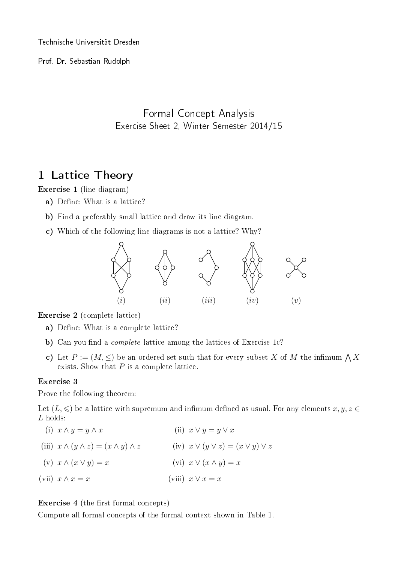Technische Universität Dresden

Prof. Dr. Sebastian Rudolph

## Formal Concept Analysis Exercise Sheet 2, Winter Semester 2014/15

## 1 Lattice Theory

Exercise 1 (line diagram)

- a) Define: What is a lattice?
- b) Find a preferably small lattice and draw its line diagram.
- c) Which of the following line diagrams is not a lattice? Why?



Exercise 2 (complete lattice)

- a) Define: What is a complete lattice?
- b) Can you find a *complete* lattice among the lattices of Exercise 1c?
- c) Let  $P := (M, \leq)$  be an ordered set such that for every subset X of M the infimum  $\bigwedge X$ exists. Show that  $P$  is a complete lattice.

## Exercise 3

Prove the following theorem:

Let  $(L, \leq)$  be a lattice with supremum and infimum defined as usual. For any elements  $x, y, z \in$ L holds:

(i)  $x \wedge y = y \wedge x$ (iii)  $x \wedge (y \wedge z) = (x \wedge y) \wedge z$  (iv)  $x \vee (y \vee z) = (x \vee y) \vee z$ (v)  $x \wedge (x \vee y) = x$ (vii)  $x \wedge x = x$ (ii)  $x \vee y = y \vee x$ (vi)  $x \vee (x \wedge y) = x$ (viii)  $x \vee x = x$ 

Exercise 4 (the first formal concepts)

Compute all formal concepts of the formal context shown in Table 1.